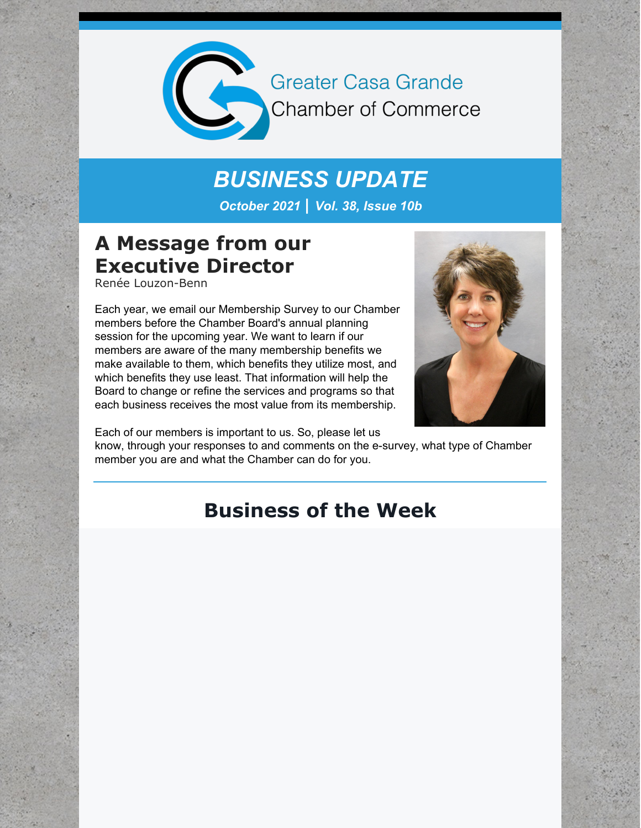

**Greater Casa Grande** Chamber of Commerce

# *BUSINESS UPDATE*

*October 2021 | Vol. 38, Issue 10b*

## **A Message from our Executive Director**

Renée Louzon-Benn

Each year, we email our Membership Survey to our Chamber members before the Chamber Board's annual planning session for the upcoming year. We want to learn if our members are aware of the many membership benefits we make available to them, which benefits they utilize most, and which benefits they use least. That information will help the Board to change or refine the services and programs so that each business receives the most value from its membership.



Each of our members is important to us. So, please let us know, through your responses to and comments on the e-survey, what type of Chamber member you are and what the Chamber can do for you.

## **Business of the Week**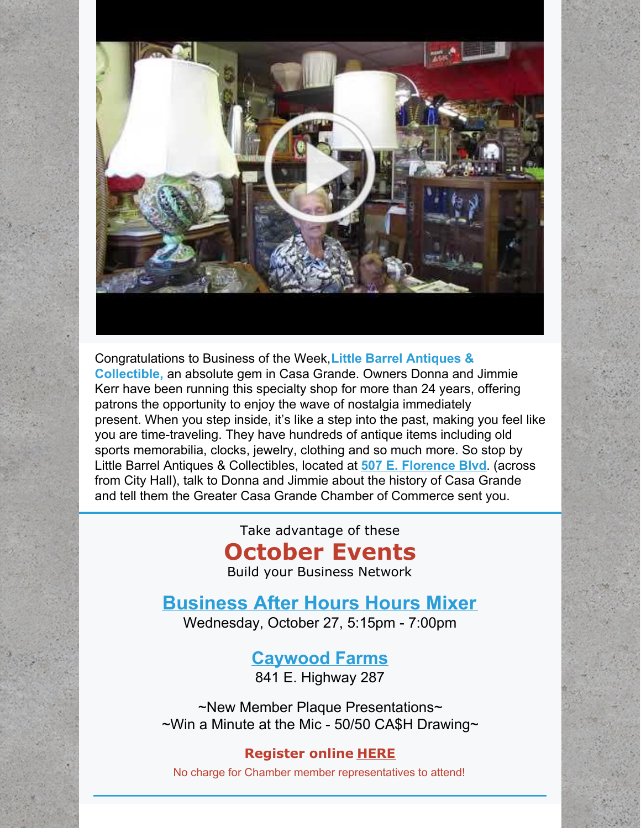

Congratulations to Business of the Week,**Little Barrel Antiques & Collectible,** an absolute gem in Casa Grande. Owners Donna and Jimmie Kerr have been running this specialty shop for more than 24 years, offering patrons the opportunity to enjoy the wave of nostalgia immediately present. When you step inside, it's like a step into the past, making you feel like you are time-traveling. They have hundreds of antique items including old sports memorabilia, clocks, jewelry, clothing and so much more. So stop by Little Barrel Antiques & Collectibles, located at **507 E. [Florence](https://www.google.com/maps/search/507+E.+Florence+Blvd?entry=gmail&source=g) Blvd**. (across from City Hall), talk to Donna and Jimmie about the history of Casa Grande and tell them the Greater Casa Grande Chamber of Commerce sent you.

Take advantage of these

## **October Events**

Build your Business Network

### **[Business](https://cca.casagrandechamber.org/EvtListing.aspx?dbid2=AZCAGR&evtid=21217&class=E) After Hours Hours Mixer**

Wednesday, October 27, 5:15pm - 7:00pm

#### **[Caywood](https://caywoodfarms.com/) Farms**

841 E. Highway 287

~New Member Plaque Presentations~  $\sim$ Win a Minute at the Mic - 50/50 CA\$H Drawing $\sim$ 

#### **Register online [HERE](https://cca.casagrandechamber.org/webforms/RepLogin.aspx?dbid2=AZCAGR&logintype=EVT&evtid=21228)**

No charge for Chamber member representatives to attend!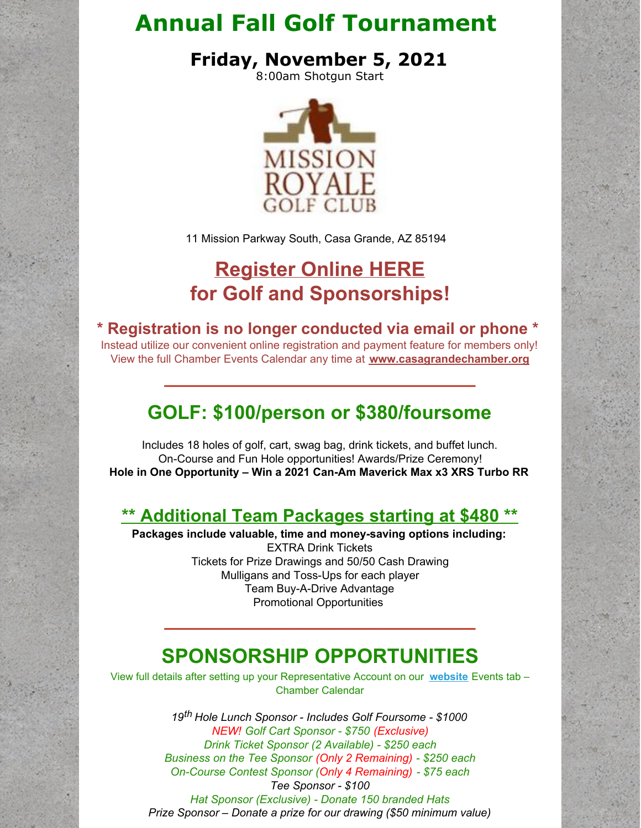## **Annual Fall Golf Tournament**

**Friday, November 5, 2021**

8:00am Shotgun Start



11 Mission Parkway South, Casa Grande, AZ 85194

## **[Register](https://r20.rs6.net/tn.jsp?f=001W_T9CwCWKwrCaFGFhJg_DXmxSh8MLkZt27GPk4xx8wA0uClqwDmZWU2dCm2JNoqPvTXi2XkypWaD067LLFBdSr1vVDuan07KoE52VW03wJh9PKHQXCU5FbJ9FLSK15RZl2CPOYopOS4zy1M1L7u3pe-ugU1g06-W3jQ80Im2NPlF0_7gvRireePPuvflWyE3JCBsgMX8M7ujgpxDlK9VYkMX1PvZsdUVZgJWvhPSSpg=&c=NvpLQcf94LmIB1VCK4S1D1uOieDvLh2Tjam-4XogxLl-s78uSbU4tw==&ch=Bnvn0izs4wjtF2XmV7UNpHCWFiqT8jss_DKJrXedvWzuMPfvD-Pj0A==) Online HERE for Golf and Sponsorships!**

**\* Registration is no longer conducted via email or phone \***

Instead utilize our convenient online registration and payment feature for members only! View the full Chamber Events Calendar any time at **[www.casagrandechamber.org](https://r20.rs6.net/tn.jsp?f=001W_T9CwCWKwrCaFGFhJg_DXmxSh8MLkZt27GPk4xx8wA0uClqwDmZWeqB1_khuTehhQR9cHYQw4j_jF7NI_OB58DeW081QA6AacUDVeBT3YRAdx20zr4PHAUwsY3_tbu9i8HByVYe2SRbYgW3iooC1cX-74v0_TRt&c=NvpLQcf94LmIB1VCK4S1D1uOieDvLh2Tjam-4XogxLl-s78uSbU4tw==&ch=Bnvn0izs4wjtF2XmV7UNpHCWFiqT8jss_DKJrXedvWzuMPfvD-Pj0A==)**

**\_\_\_\_\_\_\_\_\_\_\_\_\_\_\_\_\_\_\_\_\_\_\_\_\_\_\_\_\_**

## **GOLF: \$100/person or \$380/foursome**

Includes 18 holes of golf, cart, swag bag, drink tickets, and buffet lunch. On-Course and Fun Hole opportunities! Awards/Prize Ceremony! **Hole in One Opportunity – Win a 2021 Can-Am Maverick Max x3 XRS Turbo RR**

#### **\*\* [Additional](https://files.constantcontact.com/8c5f2f7b701/001ce6a9-bbe4-43f9-b1d2-fc2012aca900.pdf) Team Packages starting at \$480 \*\***

**Packages include valuable, time and money-saving options including:** EXTRA Drink Tickets Tickets for Prize Drawings and 50/50 Cash Drawing Mulligans and Toss-Ups for each player Team Buy-A-Drive Advantage Promotional Opportunities

## **SPONSORSHIP OPPORTUNITIES**

**\_\_\_\_\_\_\_\_\_\_\_\_\_\_\_\_\_\_\_\_\_\_\_\_\_\_\_\_\_**

View full details after setting up your Representative Account on our **[website](https://r20.rs6.net/tn.jsp?f=001W_T9CwCWKwrCaFGFhJg_DXmxSh8MLkZt27GPk4xx8wA0uClqwDmZWeqB1_khuTehhQR9cHYQw4j_jF7NI_OB58DeW081QA6AacUDVeBT3YRAdx20zr4PHAUwsY3_tbu9i8HByVYe2SRbYgW3iooC1cX-74v0_TRt&c=NvpLQcf94LmIB1VCK4S1D1uOieDvLh2Tjam-4XogxLl-s78uSbU4tw==&ch=Bnvn0izs4wjtF2XmV7UNpHCWFiqT8jss_DKJrXedvWzuMPfvD-Pj0A==)** Events tab – Chamber Calendar

> *19 th Hole Lunch Sponsor - Includes Golf Foursome - \$1000 NEW! Golf Cart Sponsor - \$750 (Exclusive) Drink Ticket Sponsor (2 Available) - \$250 each Business on the Tee Sponsor (Only 2 Remaining) - \$250 each On-Course Contest Sponsor (Only 4 Remaining) - \$75 each Tee Sponsor - \$100 Hat Sponsor (Exclusive) - Donate 150 branded Hats*

*Prize Sponsor – Donate a prize for our drawing (\$50 minimum value)*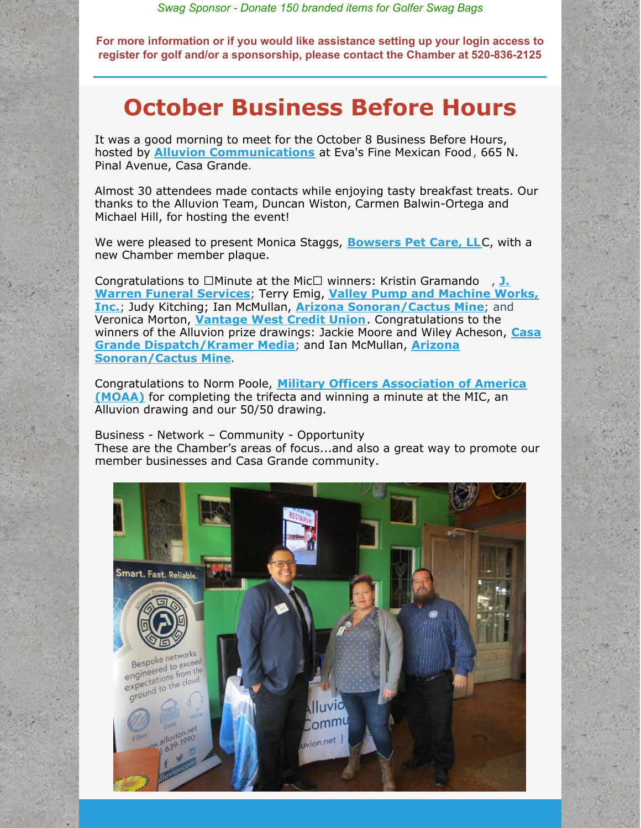*Swag Sponsor - Donate 150 branded items for Golfer Swag Bags*

**For more information or if you would like assistance setting up your login access to register for golf and/or a sponsorship, please contact the Chamber at 520-836-2125**

## **October Business Before Hours**

It was a good morning to meet for the October 8 Business Before Hours, hosted by **Alluvion [Communications](https://www.alluvion.net/)** at Eva's Fine Mexican Food, 665 N. Pinal Avenue, Casa Grande.

Almost 30 attendees made contacts while enjoying tasty breakfast treats. Our thanks to the Alluvion Team, Duncan Wiston, Carmen Balwin-Ortega and Michael Hill, for hosting the event!

We were pleased to present Monica Staggs, **[Bowsers](http://www.bowserspetcare.com) Pet Care, LL**C, with a new Chamber member plaque.

[Congratulations](http://www.jwarrenfuneral.com) to □Minute at the Mic□ winners: Kristin Gramando, J. **Warren Funeral Services**; Terry Emig, **Valley Pump and Machine Works, Inc.**; Judy Kitching; Ian McMullan, **Arizona [Sonoran/Cactus](http://www.valleypumpandmachine.com/) Mine**; and Veronica Morton, **[Vantage](https://vantagewest.org/) West Credit Union**. Congratulations to the winners of the Alluvion prize drawings: Jackie Moore and Wiley Acheson, **Casa Grande [Dispatch/Kramer](https://arizonasonoran.com/projects/cactus-mine-project/overview/) Media**; and Ian McMullan, **Arizona Sonoran/Cactus Mine**.

[Congratulations](https://smcmoaa.org/) to Norm Poole, **Military Officers Association of America (MOAA)** for completing the trifecta and winning a minute at the MIC, an Alluvion drawing and our 50/50 drawing.

Business - Network – Community - Opportunity These are the Chamber's areas of focus...and also a great way to promote our member businesses and Casa Grande community.

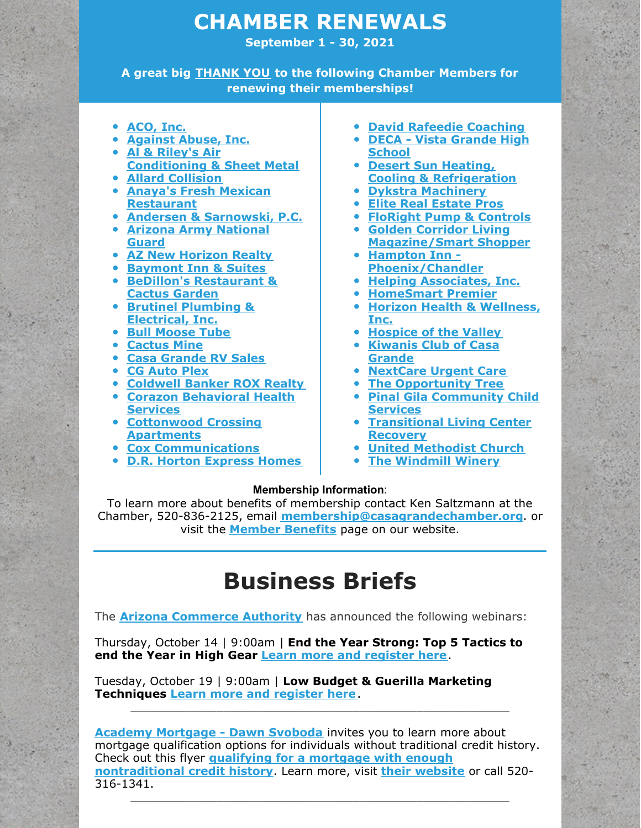### **CHAMBER RENEWALS**

**September 1 - 30, 2021**

**A great big THANK YOU to the following Chamber Members for renewing their memberships!**

- **[ACO,](http://www.acousa.com) Inc.**
- **[Against](http://www.against-abuse.org) Abuse, Inc.**
- **Al & Riley's Air [Conditioning](http://www.alandrileys.com) & Sheet Metal**
- **Allard [Collision](http://www.allardcollision.com)**
- **Anaya's Fresh Mexican [Restaurant](https://www.anayasrestaurant.online/)**
- **Andersen & [Sarnowski,](http://www.ascpacg.com) P.C.**
- **Arizona Army [National](http://www.nationalguard.com/Arizona) Guard**
- **AZ New [Horizon](http://www.aznewhorizonrealty.com) Realty**
- **[Baymont](http://www.wyndhamhotels.com/baymont) Inn & Suites**
- **BeDillon's [Restaurant](http://www.bedillonsrestaurant.com) & Cactus Garden**
- **Brutinel Plumbing & [Electrical,](http://www.brutinel.com) Inc.**
- **Bull [Moose](http://www.bullmoosetube.com) Tube**
- **[Cactus](http://www.cactusmine.com) Mine**
- **Casa [Grande](http://www.casagranderv.com) RV Sales**
- **CG [Auto](http://www.cgautoplex.com) Plex**
- **[Coldwell](http://www.roxsells.com) Banker ROX Realty**
- **Corazon [Behavioral](http://www.chaposcorazon.com) Health Services**
- **[Cottonwood](http://www.cottonwoodcrossingapts.com) Crossing Apartments**
- **Cox [Communications](http://www.cox.com/residential/home.html)**
- **D.R. Horton [Express](http://www.drhorton.com/phoenix) Homes**
- **David Rafeedie [Coaching](http://www.davidthecoach.com)**
- **DECA - Vista [Grande](http://www.cguhsd.org) High School**
- **Desert Sun Heating, Cooling & [Refrigeration](http://www.desertsunhvac.com)**
- **Dykstra [Machinery](http://www.dykstra-machinery.com)**
- **Elite Real [Estate](http://www.eliterealestatepros.com) Pros**
- **FloRight Pump & [Controls](http://www.florightpump.com)**
- **Golden Corridor Living [Magazine/Smart](http://www.roxmedia.net/) Shopper**
- **Hampton Inn - [Phoenix/Chandler](http://www.hampton.com)**
- **Helping [Associates,](http://helpingassociates.com) Inc.**
- **[HomeSmart](http://www.homesmartsuccess.com) Premier**
- **Horizon Health & [Wellness,](http://www.hhwaz.org) Inc.**
- **[Hospice](http://www.hov.org) of the Valley**
- **[Kiwanis](http://www.kiwaniscg.org) Club of Casa Grande**
- **[NextCare](http://www.nextcare.com/casa) Urgent Care**
- **The [Opportunity](http://www.theopportunitytree.org) Tree**
- **Pinal Gila [Community](http://www.pgccs.org) Child Services**
- **[Transitional](http://www.tlcrecoveryaz.com) Living Center Recovery**
- **United [Methodist](http://www.umccg.org) Church**
- **The [Windmill](http://www.thewindmillwinery.com) Winery**

#### **Membership Information**:

To learn more about benefits of membership contact Ken Saltzmann at the Chamber, 520-836-2125, email **[membership@casagrandechamber.org](mailto:membership@casagrandechamber.org)**. or visit the **Member [Benefits](https://casagrandechamber.org/member-benefits/)** page on our website.

## **Business Briefs**

The **Arizona [Commerce](http://r20.rs6.net/tn.jsp?f=001SkEbY6S5c_cQ3y1HIaOw0L8jlX9abf_pEcIRRHG4Yi9DmrL60O5qqbS0cIsAlwk8qt5PCLvUm1m7XDGV7FW-AV7fSfGUTj05S6WJYXcAH07nDPiO8eD3s42OpoRYpl-uFgPvFRr52ysAnWQiPnGB1Q==&c=40Rchfu24fH_FSH_SPfTMXFJfdwMX2fJ9RdcTJQdqdoM4_J4K6Yrog==&ch=_uiGZHVIP-vChPUTNtsEjpPTVZUaeuo3h9avpJB2DGRYFnfbn9Takw==) Authority** has announced the following webinars:

Thursday, October 14 | 9:00am | **End the Year Strong: Top 5 Tactics to end the Year in High Gear Learn more and [register](https://azcommerce.zoom.us/webinar/register/WN_4DEVtbJ1Q7KnPB0-nvyDnA) here**.

Tuesday, October 19 | 9:00am | **Low Budget & Guerilla Marketing Techniques Learn more and [register](https://azcommerce.zoom.us/webinar/register/WN_PGqV3q9MSwS9w0WAuTTFLA) here**.

**Academy [Mortgage](https://r20.rs6.net/tn.jsp?f=001EN734VFBR0ZW5182MWC7XiScX5aZXIf-MxpOOFzS8OCmPak4uUmITSCk2uuwvCgCaZQ5-UxEK2JWHVDQ7FoLA8w75id_Uix9KmBZtbQ0DCKuOtCFgVehmRzFKMpxezjoaTRoO2eFQIY9HUSXwrFTj6B8KaWTRlb7io4WYesFRMC853xjm-4Ool-BTCL_Js2ZOiU4tj0zLjsRYtFXiXaMtB8VUb3QYysi8mEwAsijzo8=&c=sxxBZ2Lc7UB6pzbS3jycbIGlNDXdj8D_ogD0TSkOZYu07N4pp-wobA==&ch=0d1p0Az7npJT63MUnmUPNO4hj_sy-7R6HjfThGZd2xJ3-FMa2cRIkA==) - Dawn Svoboda** invites you to learn more about mortgage qualification options for individuals without traditional credit history. Check out this flyer **qualifying for a mortgage with enough [nontraditional](https://files.constantcontact.com/8c5f2f7b701/cb873d79-7044-413f-80ac-855f594e5700.pdf) credit history**. Learn more, visit **their [website](https://r20.rs6.net/tn.jsp?f=001EN734VFBR0ZW5182MWC7XiScX5aZXIf-MxpOOFzS8OCmPak4uUmITb5NGfAeUMPhoOVntnf6pHVF1qOACoWlzyt1tZX0SsOYAMR8VVrNfitU1xvvM3eFnI6raup7cqe2vCNJQ3RFOH0f_Hy6Dx40upzLm_i02U_wv4AhoOs39yk=&c=sxxBZ2Lc7UB6pzbS3jycbIGlNDXdj8D_ogD0TSkOZYu07N4pp-wobA==&ch=0d1p0Az7npJT63MUnmUPNO4hj_sy-7R6HjfThGZd2xJ3-FMa2cRIkA==)** or call 520- 316-1341.

\_\_\_\_\_\_\_\_\_\_\_\_\_\_\_\_\_\_\_\_\_\_\_\_\_\_\_\_\_\_\_\_\_\_\_\_\_\_\_\_\_\_\_\_\_\_\_\_\_\_\_\_\_

 $\_$  , and the set of the set of the set of the set of the set of the set of the set of the set of the set of the set of the set of the set of the set of the set of the set of the set of the set of the set of the set of th